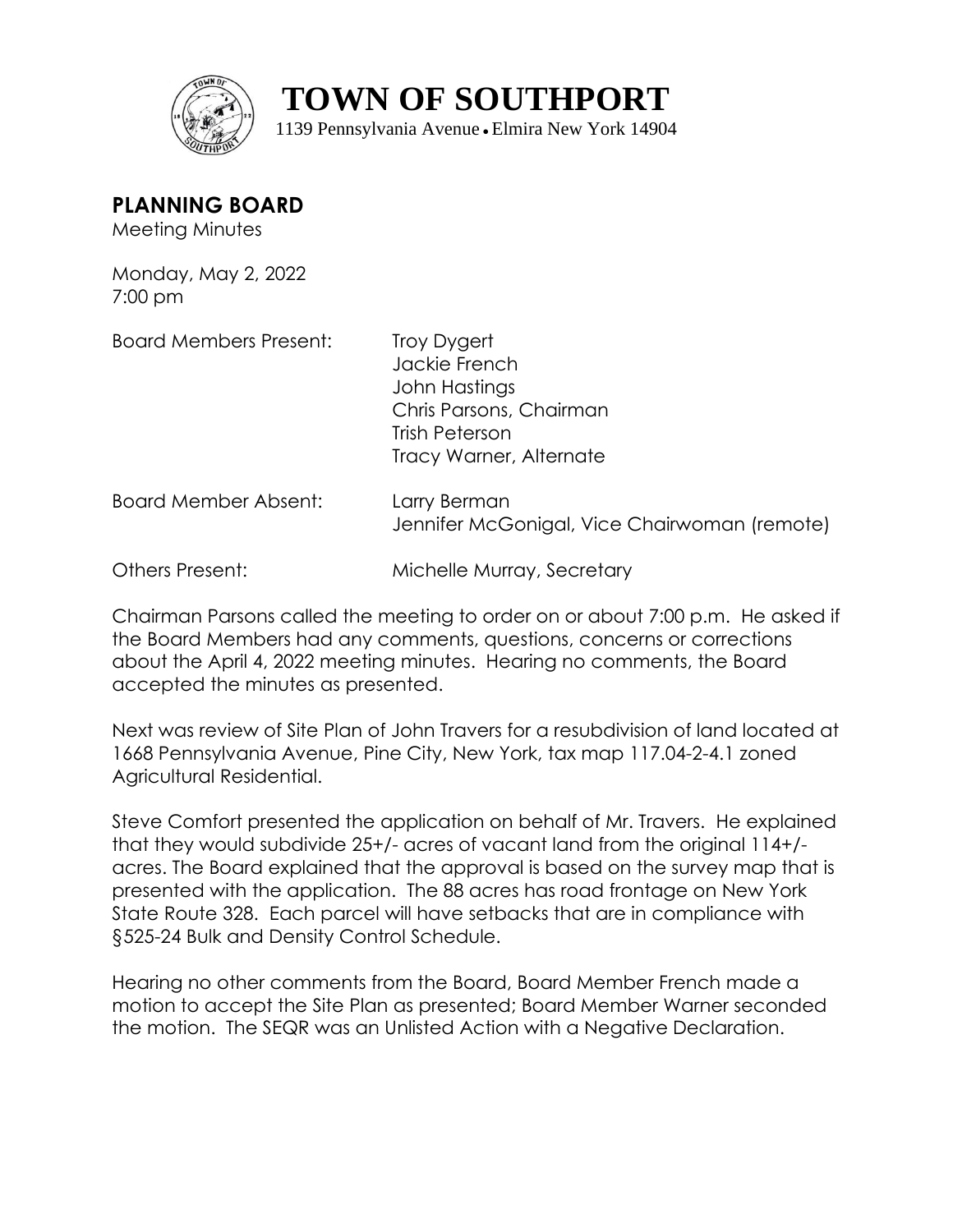

**TOWN OF SOUTHPORT**

1139 Pennsylvania Avenue ● Elmira New York 14904

**PLANNING BOARD**

Meeting Minutes

Monday, May 2, 2022 7:00 pm

Board Members Present: Troy Dygert

Jackie French John Hastings Chris Parsons, Chairman Trish Peterson Tracy Warner, Alternate

Board Member Absent: Larry Berman Jennifer McGonigal, Vice Chairwoman (remote)

Others Present: Michelle Murray, Secretary

Chairman Parsons called the meeting to order on or about 7:00 p.m. He asked if the Board Members had any comments, questions, concerns or corrections about the April 4, 2022 meeting minutes. Hearing no comments, the Board accepted the minutes as presented.

Next was review of Site Plan of John Travers for a resubdivision of land located at 1668 Pennsylvania Avenue, Pine City, New York, tax map 117.04-2-4.1 zoned Agricultural Residential.

Steve Comfort presented the application on behalf of Mr. Travers. He explained that they would subdivide 25+/- acres of vacant land from the original 114+/ acres. The Board explained that the approval is based on the survey map that is presented with the application. The 88 acres has road frontage on New York State Route 328. Each parcel will have setbacks that are in compliance with §525-24 Bulk and Density Control Schedule.

Hearing no other comments from the Board, Board Member French made a motion to accept the Site Plan as presented; Board Member Warner seconded the motion. The SEQR was an Unlisted Action with a Negative Declaration.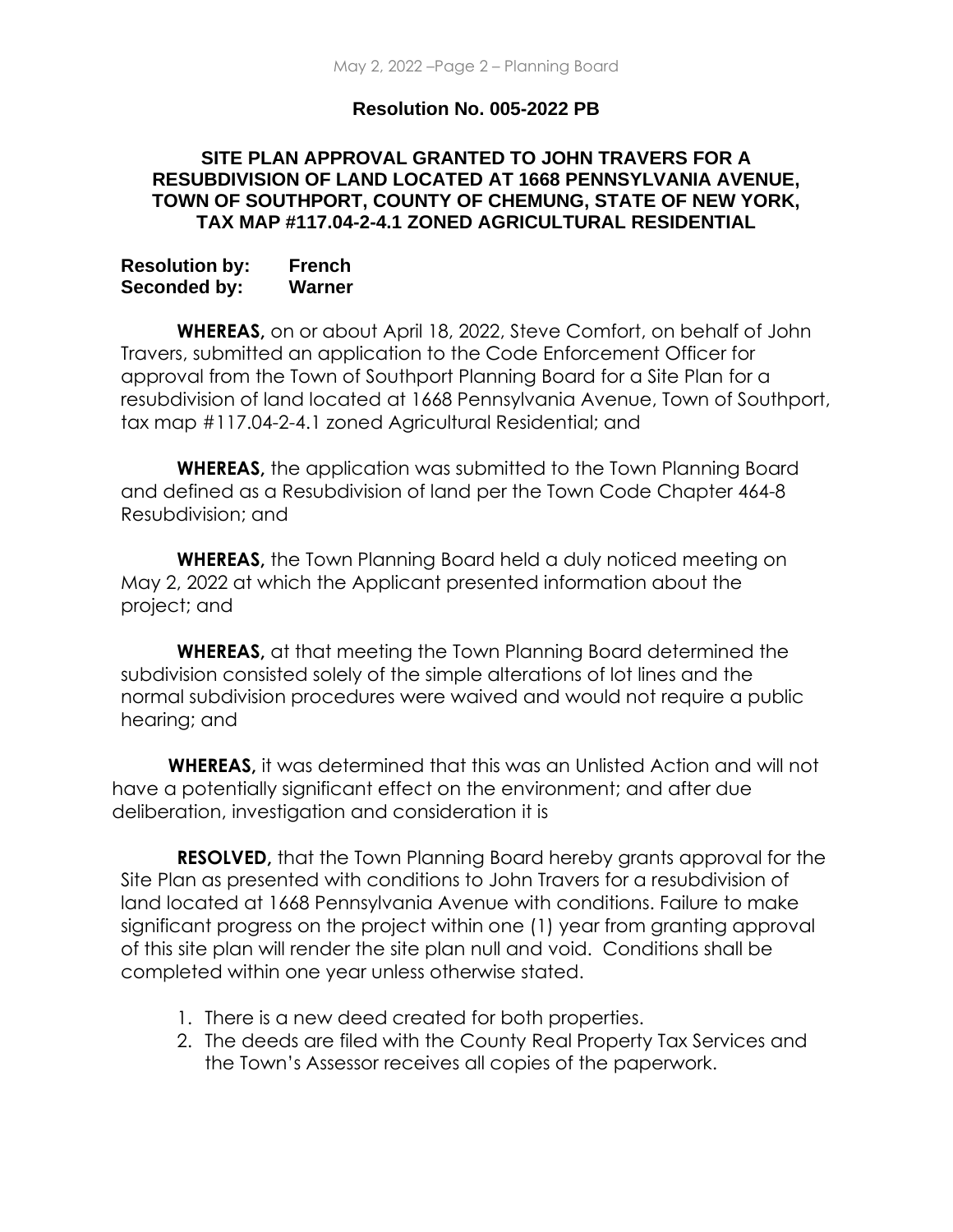## **Resolution No. 005-2022 PB**

## **SITE PLAN APPROVAL GRANTED TO JOHN TRAVERS FOR A RESUBDIVISION OF LAND LOCATED AT 1668 PENNSYLVANIA AVENUE, TOWN OF SOUTHPORT, COUNTY OF CHEMUNG, STATE OF NEW YORK, TAX MAP #117.04-2-4.1 ZONED AGRICULTURAL RESIDENTIAL**

| <b>Resolution by:</b> | <b>French</b> |
|-----------------------|---------------|
| Seconded by:          | Warner        |

**WHEREAS,** on or about April 18, 2022, Steve Comfort, on behalf of John Travers, submitted an application to the Code Enforcement Officer for approval from the Town of Southport Planning Board for a Site Plan for a resubdivision of land located at 1668 Pennsylvania Avenue, Town of Southport, tax map #117.04-2-4.1 zoned Agricultural Residential; and

**WHEREAS,** the application was submitted to the Town Planning Board and defined as a Resubdivision of land per the Town Code Chapter 464-8 Resubdivision; and

**WHEREAS,** the Town Planning Board held a duly noticed meeting on May 2, 2022 at which the Applicant presented information about the project; and

**WHEREAS,** at that meeting the Town Planning Board determined the subdivision consisted solely of the simple alterations of lot lines and the normal subdivision procedures were waived and would not require a public hearing; and

**WHEREAS,** it was determined that this was an Unlisted Action and will not have a potentially significant effect on the environment; and after due deliberation, investigation and consideration it is

**RESOLVED,** that the Town Planning Board hereby grants approval for the Site Plan as presented with conditions to John Travers for a resubdivision of land located at 1668 Pennsylvania Avenue with conditions. Failure to make significant progress on the project within one (1) year from granting approval of this site plan will render the site plan null and void. Conditions shall be completed within one year unless otherwise stated.

- 1. There is a new deed created for both properties.
- 2. The deeds are filed with the County Real Property Tax Services and the Town's Assessor receives all copies of the paperwork.